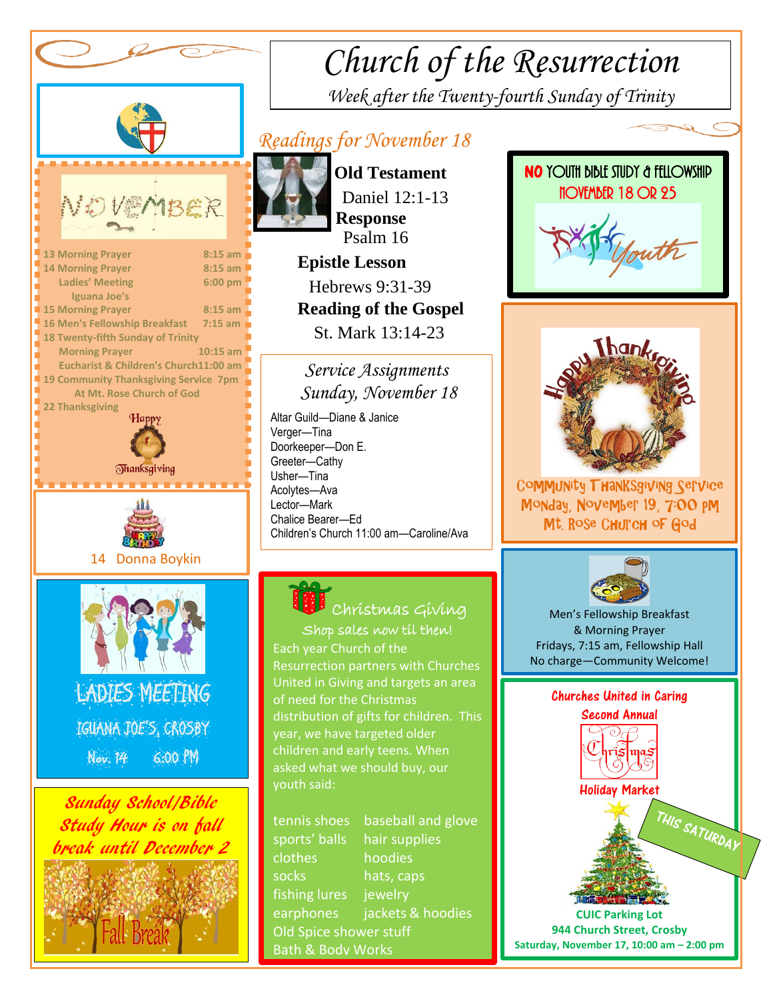

Ī

## *Church of the Resurrection Week after the Twenty-fourth Sunday of Trinity*

### *Readings for November 18*



 **Old Testament** Daniel 12:1-13  **Response** Psalm 16  **Epistle Lesson** Hebrews 9:31-39

 **Reading of the Gospel**  St. Mark 13:14-23

#### *Service Assignments Sunday, November 18*

 Altar Guild—Diane & Janice Children's Church 11:00 am—Caroline/Ava Verger—Tina Doorkeeper—Don E. Greeter—Cathy Usher—Tina Acolytes—Ava Lector—Mark Chalice Bearer—Ed 

> Shop sales now til then! Christmas Giving

year, we have targeted older Each year Church of the Resurrection partners with Churches United in Giving and targets an area of need for the Christmas distribution of gifts for children. This children and early teens. When asked what we should buy, our youth said:

tennis shoes baseball and glove sports' balls hair supplies clothes hoodies socks hats, caps fishing lures jewelry earphones jackets & hoodies Old Spice shower stuff Bath & Body Works





Community Thanksgiving Service Monday, November 19, 7:00 pm Mt. Rose Church of God



Men's Fellowship Breakfast & Morning Prayer Fridays, 7:15 am, Fellowship Hall No charge—Community Welcome!

#### Churches United in Caring Second Annual



**CUIC Parking Lot 944 Church Street, Crosby Saturday, November 17, 10:00 am – 2:00 pm**